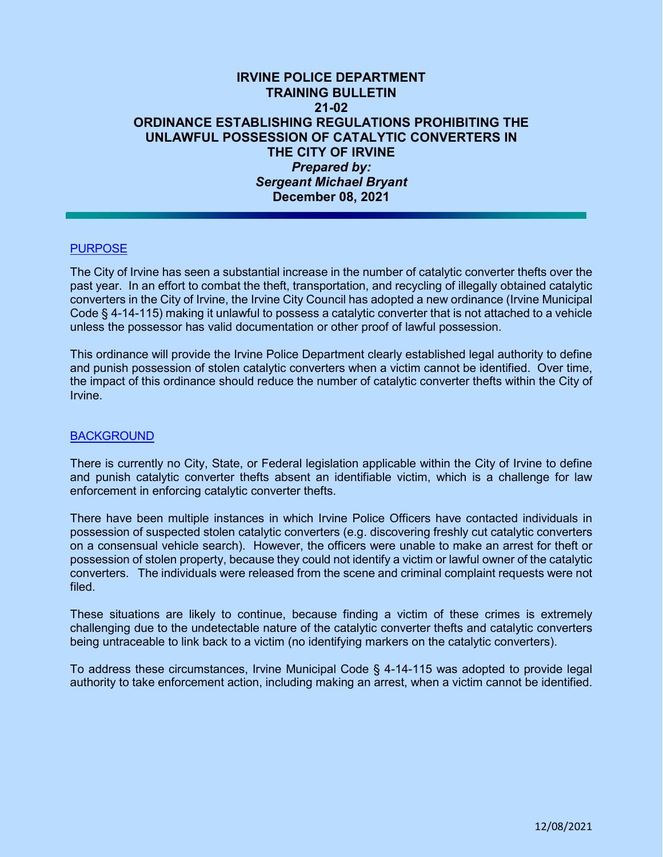# **IRVINE POLICE DEPARTMENT TRAINING BULLETIN 21-02 ORDINANCE ESTABLISHING REGULATIONS PROHIBITING THE UNLAWFUL POSSESSION OF CATALYTIC CONVERTERS IN THE CITY OF IRVINE**  *Prepared by: Sergeant Michael Bryant*  **December 08, 2021**

### PURPOSE

The City of Irvine has seen a substantial increase in the number of catalytic converter thefts over the past year. In an effort to combat the theft, transportation, and recycling of illegally obtained catalytic converters in the City of Irvine, the Irvine City Council has adopted a new ordinance (Irvine Municipal Code § 4-14-115) making it unlawful to possess a catalytic converter that is not attached to a vehicle unless the possessor has valid documentation or other proof of lawful possession.

This ordinance will provide the Irvine Police Department clearly established legal authority to define and punish possession of stolen catalytic converters when a victim cannot be identified. Over time, the impact of this ordinance should reduce the number of catalytic converter thefts within the City of Irvine.

#### BACKGROUND

There is currently no City, State, or Federal legislation applicable within the City of Irvine to define and punish catalytic converter thefts absent an identifiable victim, which is a challenge for law enforcement in enforcing catalytic converter thefts.

There have been multiple instances in which Irvine Police Officers have contacted individuals in possession of suspected stolen catalytic converters (e.g. discovering freshly cut catalytic converters on a consensual vehicle search). However, the officers were unable to make an arrest for theft or possession of stolen property, because they could not identify a victim or lawful owner of the catalytic converters. The individuals were released from the scene and criminal complaint requests were not filed.

These situations are likely to continue, because finding a victim of these crimes is extremely challenging due to the undetectable nature of the catalytic converter thefts and catalytic converters being untraceable to link back to a victim (no identifying markers on the catalytic converters).

To address these circumstances, Irvine Municipal Code § 4-14-115 was adopted to provide legal authority to take enforcement action, including making an arrest, when a victim cannot be identified.